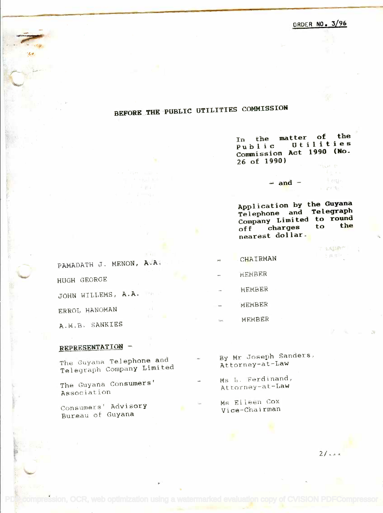## BEFORE THE PUBLIC UTILITIES COMMISSION **BEFORE .THEPUBLIC UTILITIES COMMISSION**

In the matter of the **In the matter of the** Public Utilities Commission Act 1990 (No. 26 of 1990) **26 of 1990) Public Utilities Commission Act 1990 (No.**

Application by the Guyana **Application by the Guyana** Telephone and Telegraph **Telephone and Telegraph** Company Limited to round off charges to the nearest dollar. **nearest dollar. Company Limi ted to round off charges to the**

 $=$  and  $\frac{1}{2}$ 

こう、残忍に合いた 1. 探信 4

PAMADATH J. MENON, A.A. CHAIRMAN HUGH GEORGE JOHN WILLEMS, A.A. ERROL HANOMAN

A.M.B. SANKIES

## REPRESENTATION -

Telegraph Company Limited Attorney-at-Law Telegraph Company Limited

Association

Bureau of Guyana Vice-Chairman Bureau at Guyana

The Guyana Telephone and  $\begin{array}{ccc} \sim & \quad \text{By} \text{ Mr. Joseph Sanders,} \ \text{At torne} \sim & \quad \text{At torne} \sim & \text{At torne} \sim \end{array}$ By Mr Joseph Sanders, Attorney-at-Law

MEmRER

MEMBER

MEMBER

MEMBER

- The Guyana Con**sumers'** The Ms L. Ferdinand,<br>Attorney-at-Law Attorney-at-Law Attorney-at-Law Ms L. Ferdinand,
- Consumers' Advis**ory** Ms Eileen Cox<br>Martia Martinan Ms Eileen Cox Vice-Chairman

mpression, OCR, web optimization using a watermarked evaluation copy of CVISION PDFCompressor

 $21 - 4$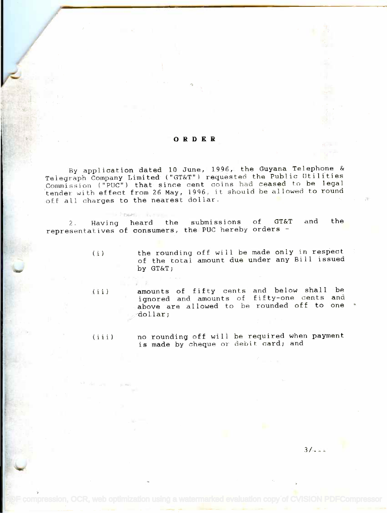## ORDER

By application dated 10 June, 1996, the Guyana Telephone & By application dated 10 June, 1996, the Guyana Telephone & Telegraph Company Limited ("GT&T") requested the Public Utilities Commission ("PUC") that since cent coins had ceased to be legal tender with effect from 26 May, 1996, it should be allowed to round off all charges to the nearest dollar. Telegraph Company Limited ("GT&T"1 requested the Public Utilities Commission ("PUC") that since cent coins had ceased to be legal tender with effect from 26 May, 1996. it should be allowed to round

2. Having heard the submissions of GT&T and the representatives of consumers, the PUC hereby orders representatives of consumers, the pue hereby orders - 2. Having heard the submissions of GT&T

**I Fram** 

/

(i) the rounding off will be made only in respect of the total amount due under any Bill issued of the total amount due under any Bill issued by GT&T; by *GT&Tj*

(ii) amounts of fifty cents and below shall be ignored and amounts of fifty-one cents and above are allowed to be rounded off to one dollar; dollarj (ii) amounts of fifty cents and below shall be ignored and amounts of fifty-one cents and

(iii) ho rounding off will be required when payment is made by cheque or debit card; and is made by cheque or debit cardj and

 $3/2$